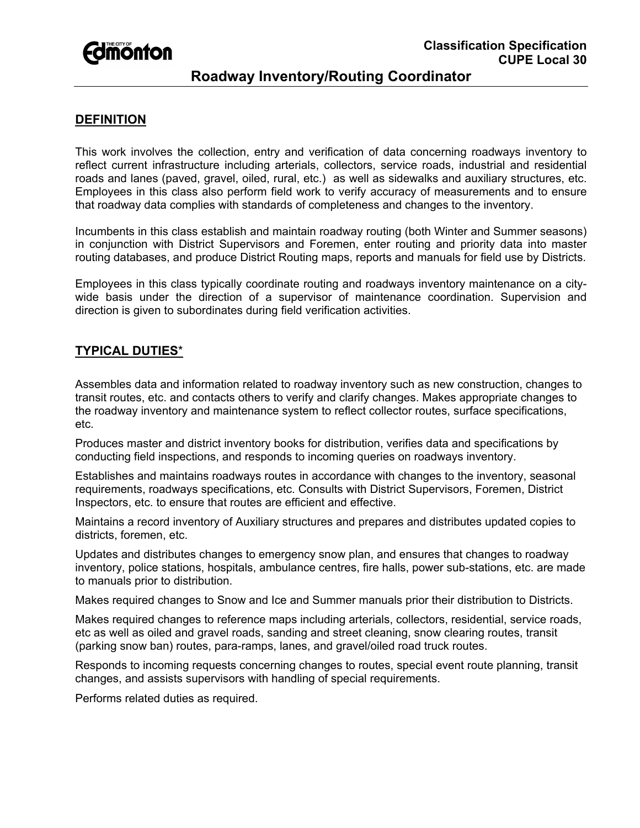

# **Roadway Inventory/Routing Coordinator**

# **DEFINITION**

This work involves the collection, entry and verification of data concerning roadways inventory to reflect current infrastructure including arterials, collectors, service roads, industrial and residential roads and lanes (paved, gravel, oiled, rural, etc.) as well as sidewalks and auxiliary structures, etc. Employees in this class also perform field work to verify accuracy of measurements and to ensure that roadway data complies with standards of completeness and changes to the inventory.

Incumbents in this class establish and maintain roadway routing (both Winter and Summer seasons) in conjunction with District Supervisors and Foremen, enter routing and priority data into master routing databases, and produce District Routing maps, reports and manuals for field use by Districts.

Employees in this class typically coordinate routing and roadways inventory maintenance on a citywide basis under the direction of a supervisor of maintenance coordination. Supervision and direction is given to subordinates during field verification activities.

### **TYPICAL DUTIES**\*

Assembles data and information related to roadway inventory such as new construction, changes to transit routes, etc. and contacts others to verify and clarify changes. Makes appropriate changes to the roadway inventory and maintenance system to reflect collector routes, surface specifications, etc.

Produces master and district inventory books for distribution, verifies data and specifications by conducting field inspections, and responds to incoming queries on roadways inventory.

Establishes and maintains roadways routes in accordance with changes to the inventory, seasonal requirements, roadways specifications, etc. Consults with District Supervisors, Foremen, District Inspectors, etc. to ensure that routes are efficient and effective.

Maintains a record inventory of Auxiliary structures and prepares and distributes updated copies to districts, foremen, etc.

Updates and distributes changes to emergency snow plan, and ensures that changes to roadway inventory, police stations, hospitals, ambulance centres, fire halls, power sub-stations, etc. are made to manuals prior to distribution.

Makes required changes to Snow and Ice and Summer manuals prior their distribution to Districts.

Makes required changes to reference maps including arterials, collectors, residential, service roads, etc as well as oiled and gravel roads, sanding and street cleaning, snow clearing routes, transit (parking snow ban) routes, para-ramps, lanes, and gravel/oiled road truck routes.

Responds to incoming requests concerning changes to routes, special event route planning, transit changes, and assists supervisors with handling of special requirements.

Performs related duties as required.